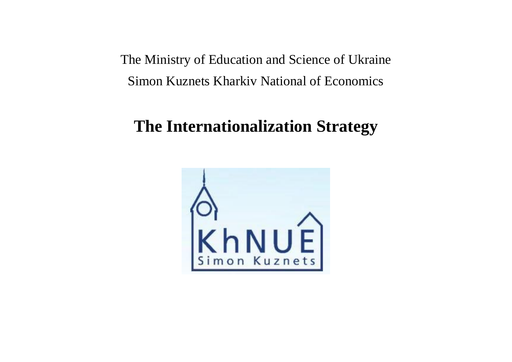The Ministry of Education and Science of Ukraine Simon Kuznets Kharkiv National of Economics

# **The Internationalization Strategy**

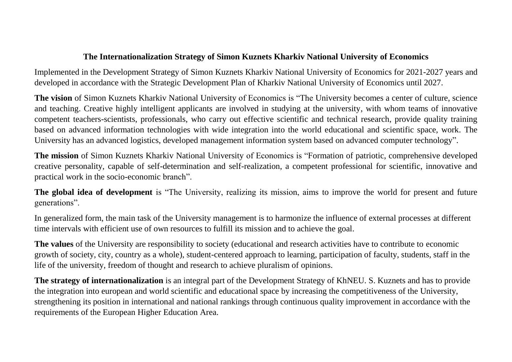#### **The Internationalization Strategy of Simon Kuznets Kharkiv National University of Economics**

Implemented in the Development Strategy of Simon Kuznets Kharkiv National University of Economics for 2021-2027 years and developed in accordance with the Strategic Development Plan of Kharkiv National University of Economics until 2027.

**The vision** of Simon Kuznets Kharkiv National University of Economics is "The University becomes a center of culture, science and teaching. Creative highly intelligent applicants are involved in studying at the university, with whom teams of innovative competent teachers-scientists, professionals, who carry out effective scientific and technical research, provide quality training based on advanced information technologies with wide integration into the world educational and scientific space, work. The University has an advanced logistics, developed management information system based on advanced computer technology".

**The mission** of Simon Kuznets Kharkiv National University of Economics is "Formation of patriotic, comprehensive developed creative personality, capable of self-determination and self-realization, a competent professional for scientific, innovative and practical work in the socio-economic branch".

**The global idea of development** is "The University, realizing its mission, aims to improve the world for present and future generations".

In generalized form, the main task of the University management is to harmonize the influence of external processes at different time intervals with efficient use of own resources to fulfill its mission and to achieve the goal.

**The values** of the University are responsibility to society (educational and research activities have to contribute to economic growth of society, city, country as a whole), student-centered approach to learning, participation of faculty, students, staff in the life of the university, freedom of thought and research to achieve pluralism of opinions.

**The strategy of internationalization** is an integral part of the Development Strategy of KhNEU. S. Kuznets and has to provide the integration into european and world scientific and educational space by increasing the competitiveness of the University, strengthening its position in international and national rankings through continuous quality improvement in accordance with the requirements of the European Higher Education Area.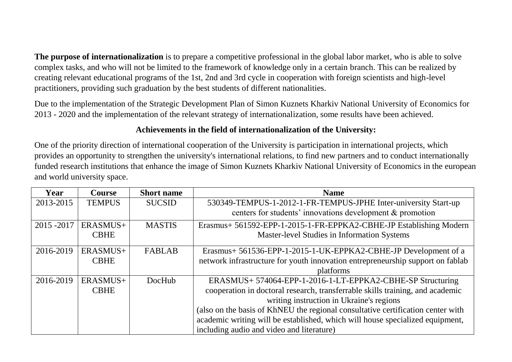**The purpose of internationalization** is to prepare a competitive professional in the global labor market, who is able to solve complex tasks, and who will not be limited to the framework of knowledge only in a certain branch. This can be realized by creating relevant educational programs of the 1st, 2nd and 3rd cycle in cooperation with foreign scientists and high-level practitioners, providing such graduation by the best students of different nationalities.

Due to the implementation of the Strategic Development Plan of Simon Kuznets Kharkiv National University of Economics for 2013 - 2020 and the implementation of the relevant strategy of internationalization, some results have been achieved.

# **Achievements in the field of internationalization of the University:**

One of the priority direction of international cooperation of the University is participation in international projects, which provides an opportunity to strengthen the university's international relations, to find new partners and to conduct internationally funded research institutions that enhance the image of Simon Kuznets Kharkiv National University of Economics in the european and world university space.

| Year        | <b>Course</b> | <b>Short name</b> | <b>Name</b>                                                                     |
|-------------|---------------|-------------------|---------------------------------------------------------------------------------|
| 2013-2015   | <b>TEMPUS</b> | <b>SUCSID</b>     | 530349-TEMPUS-1-2012-1-FR-TEMPUS-JPHE Inter-university Start-up                 |
|             |               |                   | centers for students' innovations development & promotion                       |
| 2015 - 2017 | ERASMUS+      | <b>MASTIS</b>     | Erasmus+ 561592-EPP-1-2015-1-FR-EPPKA2-CBHE-JP Establishing Modern              |
|             | <b>CBHE</b>   |                   | Master-level Studies in Information Systems                                     |
| 2016-2019   | ERASMUS+      | <b>FABLAB</b>     | Erasmus+ 561536-EPP-1-2015-1-UK-EPPKA2-CBHE-JP Development of a                 |
|             | <b>CBHE</b>   |                   | network infrastructure for youth innovation entrepreneurship support on fablab  |
|             |               |                   | platforms                                                                       |
| 2016-2019   | ERASMUS+      | DocHub            | ERASMUS+574064-EPP-1-2016-1-LT-EPPKA2-CBHE-SP Structuring                       |
|             | <b>CBHE</b>   |                   | cooperation in doctoral research, transferrable skills training, and academic   |
|             |               |                   | writing instruction in Ukraine's regions                                        |
|             |               |                   | (also on the basis of KhNEU the regional consultative certification center with |
|             |               |                   | academic writing will be established, which will house specialized equipment,   |
|             |               |                   | including audio and video and literature)                                       |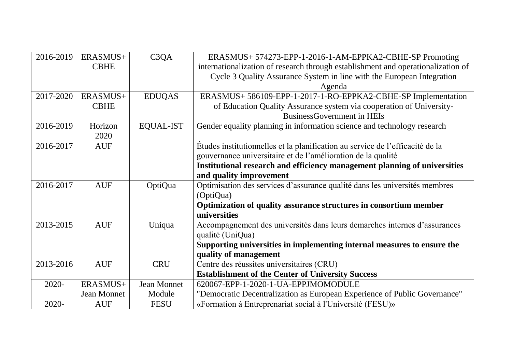| 2016-2019 | ERASMUS+           | C <sub>3</sub> QA | ERASMUS+ 574273-EPP-1-2016-1-AM-EPPKA2-CBHE-SP Promoting                         |
|-----------|--------------------|-------------------|----------------------------------------------------------------------------------|
|           | <b>CBHE</b>        |                   | internationalization of research through establishment and operationalization of |
|           |                    |                   | Cycle 3 Quality Assurance System in line with the European Integration           |
|           |                    |                   | Agenda                                                                           |
| 2017-2020 | ERASMUS+           | <b>EDUQAS</b>     | ERASMUS+ 586109-EPP-1-2017-1-RO-EPPKA2-CBHE-SP Implementation                    |
|           | <b>CBHE</b>        |                   | of Education Quality Assurance system via cooperation of University-             |
|           |                    |                   | <b>BusinessGovernment in HEIs</b>                                                |
| 2016-2019 | Horizon            | <b>EQUAL-IST</b>  | Gender equality planning in information science and technology research          |
|           | 2020               |                   |                                                                                  |
| 2016-2017 | <b>AUF</b>         |                   | Études institutionnelles et la planification au service de l'efficacité de la    |
|           |                    |                   | gouvernance universitaire et de l'amélioration de la qualité                     |
|           |                    |                   | Institutional research and efficiency management planning of universities        |
|           |                    |                   | and quality improvement                                                          |
| 2016-2017 | <b>AUF</b>         | OptiQua           | Optimisation des services d'assurance qualité dans les universités membres       |
|           |                    |                   | (OptiQua)                                                                        |
|           |                    |                   | Optimization of quality assurance structures in consortium member                |
|           |                    |                   | universities                                                                     |
| 2013-2015 | <b>AUF</b>         | Uniqua            | Accompagnement des universités dans leurs demarches internes d'assurances        |
|           |                    |                   | qualité (UniQua)                                                                 |
|           |                    |                   | Supporting universities in implementing internal measures to ensure the          |
|           |                    |                   | quality of management                                                            |
| 2013-2016 | <b>AUF</b>         | <b>CRU</b>        | Centre des réussites universitaires (CRU)                                        |
|           |                    |                   | <b>Establishment of the Center of University Success</b>                         |
| 2020-     | ERASMUS+           | Jean Monnet       | 620067-EPP-1-2020-1-UA-EPPJMOMODULE                                              |
|           | <b>Jean Monnet</b> | Module            | "Democratic Decentralization as European Experience of Public Governance"        |
| 2020-     | <b>AUF</b>         | <b>FESU</b>       | «Formation à Entreprenariat social à l'Université (FESU)»                        |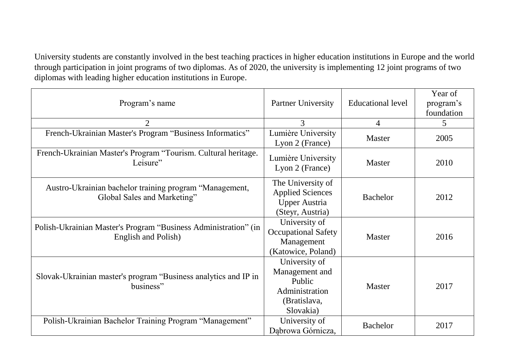University students are constantly involved in the best teaching practices in higher education institutions in Europe and the world through participation in joint programs of two diplomas. As of 2020, the university is implementing 12 joint programs of two diplomas with leading higher education institutions in Europe.

| Program's name                                                                         | <b>Partner University</b>                                                                | <b>Educational level</b> | Year of<br>program's<br>foundation |
|----------------------------------------------------------------------------------------|------------------------------------------------------------------------------------------|--------------------------|------------------------------------|
| $\overline{2}$                                                                         | 3                                                                                        | $\overline{4}$           | 5                                  |
| French-Ukrainian Master's Program "Business Informatics"                               | Lumière University<br>Lyon 2 (France)                                                    | <b>Master</b>            | 2005                               |
| French-Ukrainian Master's Program "Tourism. Cultural heritage.<br>Leisure"             | Lumière University<br>Lyon 2 (France)                                                    | <b>Master</b>            | 2010                               |
| Austro-Ukrainian bachelor training program "Management,<br>Global Sales and Marketing" | The University of<br><b>Applied Sciences</b><br><b>Upper Austria</b><br>(Steyr, Austria) | <b>Bachelor</b>          | 2012                               |
| Polish-Ukrainian Master's Program "Business Administration" (in<br>English and Polish) | University of<br><b>Occupational Safety</b><br>Management<br>(Katowice, Poland)          | <b>Master</b>            | 2016                               |
| Slovak-Ukrainian master's program "Business analytics and IP in<br>business"           | University of<br>Management and<br>Public<br>Administration<br>(Bratislava,<br>Slovakia) | <b>Master</b>            | 2017                               |
| Polish-Ukrainian Bachelor Training Program "Management"                                | University of<br>Dabrowa Górnicza,                                                       | <b>Bachelor</b>          | 2017                               |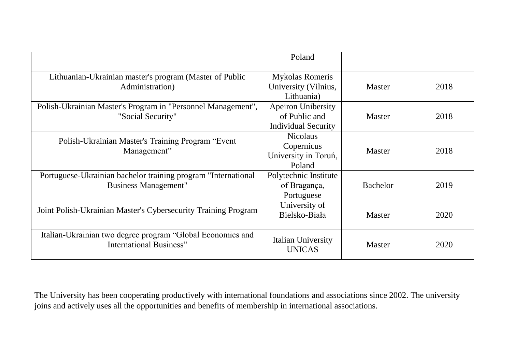|                                                                                              | Poland                                                                   |               |      |
|----------------------------------------------------------------------------------------------|--------------------------------------------------------------------------|---------------|------|
| Lithuanian-Ukrainian master's program (Master of Public<br>Administration)                   | <b>Mykolas Romeris</b><br>University (Vilnius,<br>Lithuania)             | <b>Master</b> | 2018 |
| Polish-Ukrainian Master's Program in "Personnel Management",<br>"Social Security"            | <b>Apeiron Unibersity</b><br>of Public and<br><b>Individual Security</b> | <b>Master</b> | 2018 |
| Polish-Ukrainian Master's Training Program "Event"<br>Management"                            | <b>Nicolaus</b><br>Copernicus<br>University in Toruń,<br>Poland          | Master        | 2018 |
| Portuguese-Ukrainian bachelor training program "International<br><b>Business Management"</b> | Polytechnic Institute<br>of Bragança,<br>Portuguese                      | Bachelor      | 2019 |
| Joint Polish-Ukrainian Master's Cybersecurity Training Program                               | University of<br>Bielsko-Biała                                           | <b>Master</b> | 2020 |
| Italian-Ukrainian two degree program "Global Economics and<br>International Business"        | Italian University<br><b>UNICAS</b>                                      | <b>Master</b> | 2020 |

The University has been cooperating productively with international foundations and associations since 2002. The university joins and actively uses all the opportunities and benefits of membership in international associations.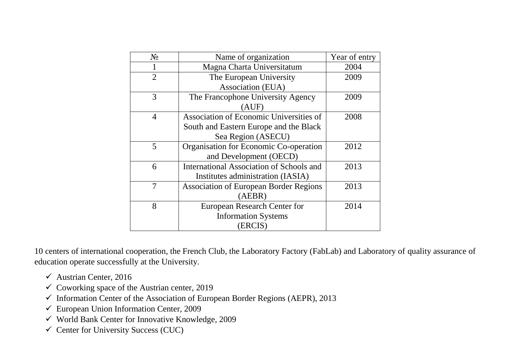| $N_{2}$        | Name of organization                          | Year of entry |
|----------------|-----------------------------------------------|---------------|
|                | Magna Charta Universitatum                    | 2004          |
| $\overline{2}$ | The European University                       | 2009          |
|                | Association (EUA)                             |               |
| 3              | The Francophone University Agency             | 2009          |
|                | (AUF)                                         |               |
| $\overline{4}$ | Association of Economic Universities of       | 2008          |
|                | South and Eastern Europe and the Black        |               |
|                | Sea Region (ASECU)                            |               |
| 5              | Organisation for Economic Co-operation        | 2012          |
|                | and Development (OECD)                        |               |
| 6              | International Association of Schools and      | 2013          |
|                | Institutes administration (IASIA)             |               |
| 7              | <b>Association of European Border Regions</b> | 2013          |
|                | (AEBR)                                        |               |
| 8              | <b>European Research Center for</b>           | 2014          |
|                | <b>Information Systems</b>                    |               |
|                | (ERCIS)                                       |               |

10 centers of international cooperation, the French Club, the Laboratory Factory (FabLab) and Laboratory of quality assurance of education operate successfully at the University.

- $\checkmark$  Austrian Center, 2016
- $\checkmark$  Coworking space of the Austrian center, 2019
- $\checkmark$  Information Center of the Association of European Border Regions (AEPR), 2013
- $\checkmark$  European Union Information Center, 2009
- $\checkmark$  World Bank Center for Innovative Knowledge, 2009
- $\checkmark$  Center for University Success (CUC)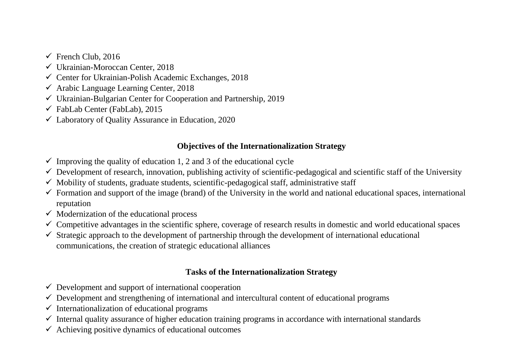- $\checkmark$  French Club, 2016
- Ukrainian-Moroccan Center, 2018
- $\checkmark$  Center for Ukrainian-Polish Academic Exchanges, 2018
- Arabic Language Learning Center, 2018
- Ukrainian-Bulgarian Center for Cooperation and Partnership, 2019
- $\checkmark$  FabLab Center (FabLab), 2015
- $\checkmark$  Laboratory of Ouality Assurance in Education, 2020

# **Objectives of the Internationalization Strategy**

- $\checkmark$  Improving the quality of education 1, 2 and 3 of the educational cycle
- $\checkmark$  Development of research, innovation, publishing activity of scientific-pedagogical and scientific staff of the University
- $\checkmark$  Mobility of students, graduate students, scientific-pedagogical staff, administrative staff
- $\checkmark$  Formation and support of the image (brand) of the University in the world and national educational spaces, international reputation
- $\checkmark$  Modernization of the educational process
- $\checkmark$  Competitive advantages in the scientific sphere, coverage of research results in domestic and world educational spaces
- $\checkmark$  Strategic approach to the development of partnership through the development of international educational communications, the creation of strategic educational alliances

# **Tasks of the Internationalization Strategy**

- $\checkmark$  Development and support of international cooperation
- $\checkmark$  Development and strengthening of international and intercultural content of educational programs
- $\checkmark$  Internationalization of educational programs
- $\checkmark$  Internal quality assurance of higher education training programs in accordance with international standards
- $\checkmark$  Achieving positive dynamics of educational outcomes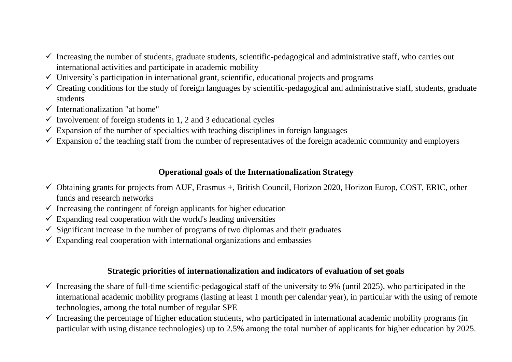- $\checkmark$  Increasing the number of students, graduate students, scientific-pedagogical and administrative staff, who carries out international activities and participate in academic mobility
- $\checkmark$  University's participation in international grant, scientific, educational projects and programs
- $\checkmark$  Creating conditions for the study of foreign languages by scientific-pedagogical and administrative staff, students, graduate students
- $\checkmark$  Internationalization "at home"
- $\checkmark$  Involvement of foreign students in 1, 2 and 3 educational cycles
- $\checkmark$  Expansion of the number of specialties with teaching disciplines in foreign languages
- $\checkmark$  Expansion of the teaching staff from the number of representatives of the foreign academic community and employers

#### **Operational goals of the Internationalization Strategy**

- $\checkmark$  Obtaining grants for projects from AUF, Erasmus +, British Council, Horizon 2020, Horizon Europ, COST, ERIC, other funds and research networks
- $\checkmark$  Increasing the contingent of foreign applicants for higher education
- $\checkmark$  Expanding real cooperation with the world's leading universities
- $\checkmark$  Significant increase in the number of programs of two diplomas and their graduates
- $\checkmark$  Expanding real cooperation with international organizations and embassies

#### **Strategic priorities of internationalization and indicators of evaluation of set goals**

- $\checkmark$  Increasing the share of full-time scientific-pedagogical staff of the university to 9% (until 2025), who participated in the international academic mobility programs (lasting at least 1 month per calendar year), in particular with the using of remote technologies, among the total number of regular SPE
- $\checkmark$  Increasing the percentage of higher education students, who participated in international academic mobility programs (in particular with using distance technologies) up to 2.5% among the total number of applicants for higher education by 2025.